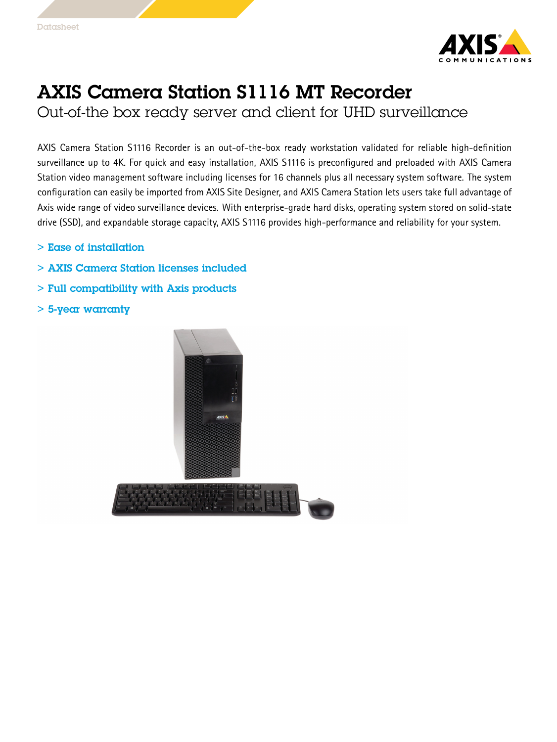

## AXIS Camera Station S1116 MT Recorder

Out-of-the box ready server and client for UHD surveillance

AXIS Camera Station S1116 Recorder is an out-of-the-box ready workstation validated for reliable high-definition surveillance up to 4K. For quick and easy installation, AXIS S1116 is preconfigured and preloaded with AXIS Camera Station video management software including licenses for 16 channels plus all necessary system software. The system configuration can easily be imported from AXIS Site Designer, and AXIS Camera Station lets users take full advantage of Axis wide range of video surveillance devices. With enterprise-grade hard disks, operating system stored on solid-state drive (SSD), and expandable storage capacity, AXIS S1116 provides high-performance and reliability for your system.

- > Ease of installation
- > AXIS Camera Station licenses included
- > Full compatibility with Axis products
- > 5-year warranty